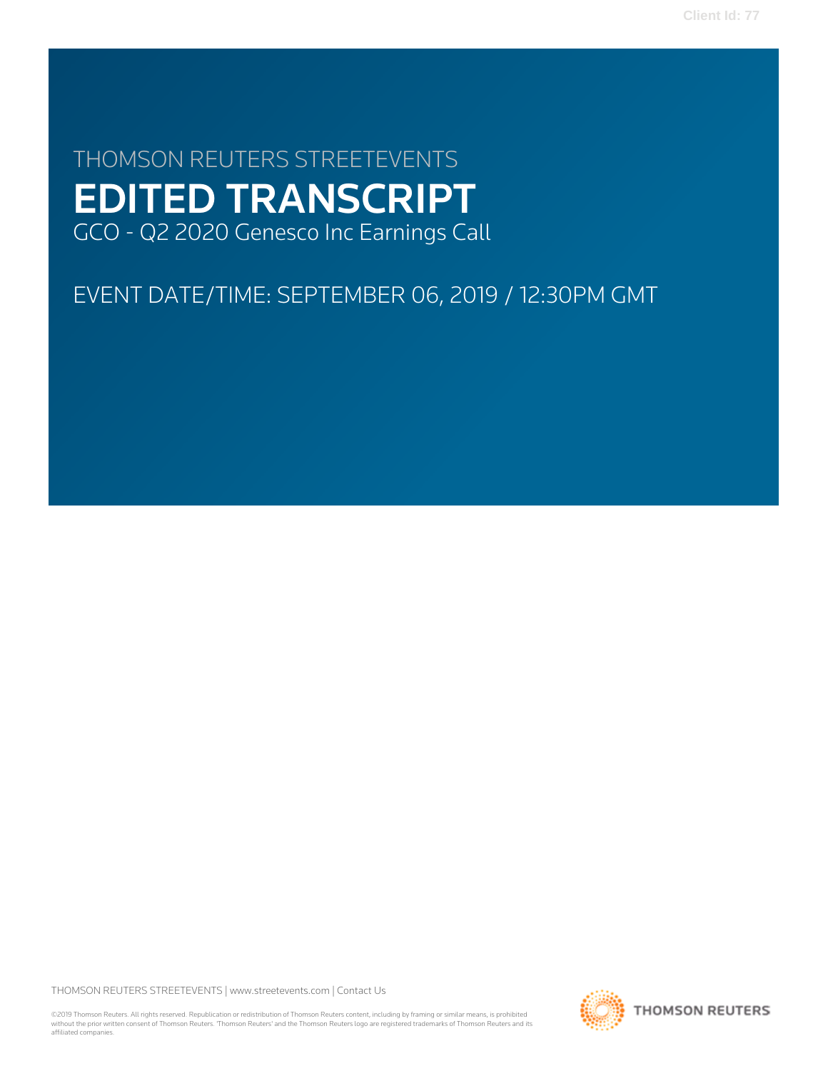# THOMSON REUTERS STREETEVENTS EDITED TRANSCRIPT GCO - Q2 2020 Genesco Inc Earnings Call

## EVENT DATE/TIME: SEPTEMBER 06, 2019 / 12:30PM GMT

THOMSON REUTERS STREETEVENTS | [www.streetevents.com](http://www.streetevents.com) | [Contact Us](http://www010.streetevents.com/contact.asp)

©2019 Thomson Reuters. All rights reserved. Republication or redistribution of Thomson Reuters content, including by framing or similar means, is prohibited without the prior written consent of Thomson Reuters. 'Thomson Reuters' and the Thomson Reuters logo are registered trademarks of Thomson Reuters and its affiliated companies.

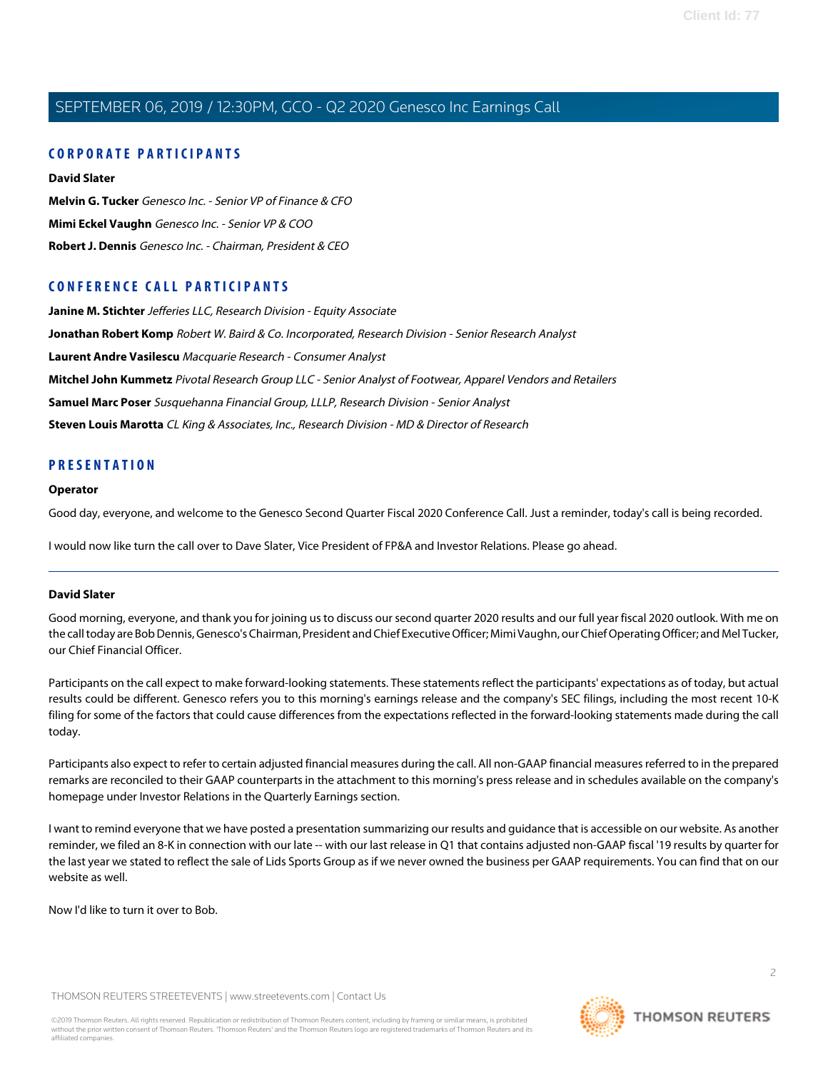### **CORPORATE PARTICIPANTS**

**[David Slater](#page-1-0) [Melvin G. Tucker](#page-3-0)** Genesco Inc. - Senior VP of Finance & CFO **[Mimi Eckel Vaughn](#page-5-0)** Genesco Inc. - Senior VP & COO **[Robert J. Dennis](#page-2-0)** Genesco Inc. - Chairman, President & CEO

### **CONFERENCE CALL PARTICIPANTS**

**[Janine M. Stichter](#page-7-0)** Jefferies LLC, Research Division - Equity Associate **[Jonathan Robert Komp](#page-8-0)** Robert W. Baird & Co. Incorporated, Research Division - Senior Research Analyst **[Laurent Andre Vasilescu](#page-14-0)** Macquarie Research - Consumer Analyst **[Mitchel John Kummetz](#page-13-0)** Pivotal Research Group LLC - Senior Analyst of Footwear, Apparel Vendors and Retailers **[Samuel Marc Poser](#page-11-0)** Susquehanna Financial Group, LLLP, Research Division - Senior Analyst **[Steven Louis Marotta](#page-10-0)** CL King & Associates, Inc., Research Division - MD & Director of Research

### **PRESENTATION**

#### **Operator**

Good day, everyone, and welcome to the Genesco Second Quarter Fiscal 2020 Conference Call. Just a reminder, today's call is being recorded.

<span id="page-1-0"></span>I would now like turn the call over to Dave Slater, Vice President of FP&A and Investor Relations. Please go ahead.

### **David Slater**

Good morning, everyone, and thank you for joining us to discuss our second quarter 2020 results and our full year fiscal 2020 outlook. With me on the call today are Bob Dennis, Genesco's Chairman, President and Chief Executive Officer; Mimi Vaughn, our Chief Operating Officer; and Mel Tucker, our Chief Financial Officer.

Participants on the call expect to make forward-looking statements. These statements reflect the participants' expectations as of today, but actual results could be different. Genesco refers you to this morning's earnings release and the company's SEC filings, including the most recent 10-K filing for some of the factors that could cause differences from the expectations reflected in the forward-looking statements made during the call today.

Participants also expect to refer to certain adjusted financial measures during the call. All non-GAAP financial measures referred to in the prepared remarks are reconciled to their GAAP counterparts in the attachment to this morning's press release and in schedules available on the company's homepage under Investor Relations in the Quarterly Earnings section.

I want to remind everyone that we have posted a presentation summarizing our results and guidance that is accessible on our website. As another reminder, we filed an 8-K in connection with our late -- with our last release in Q1 that contains adjusted non-GAAP fiscal '19 results by quarter for the last year we stated to reflect the sale of Lids Sports Group as if we never owned the business per GAAP requirements. You can find that on our website as well.

Now I'd like to turn it over to Bob.

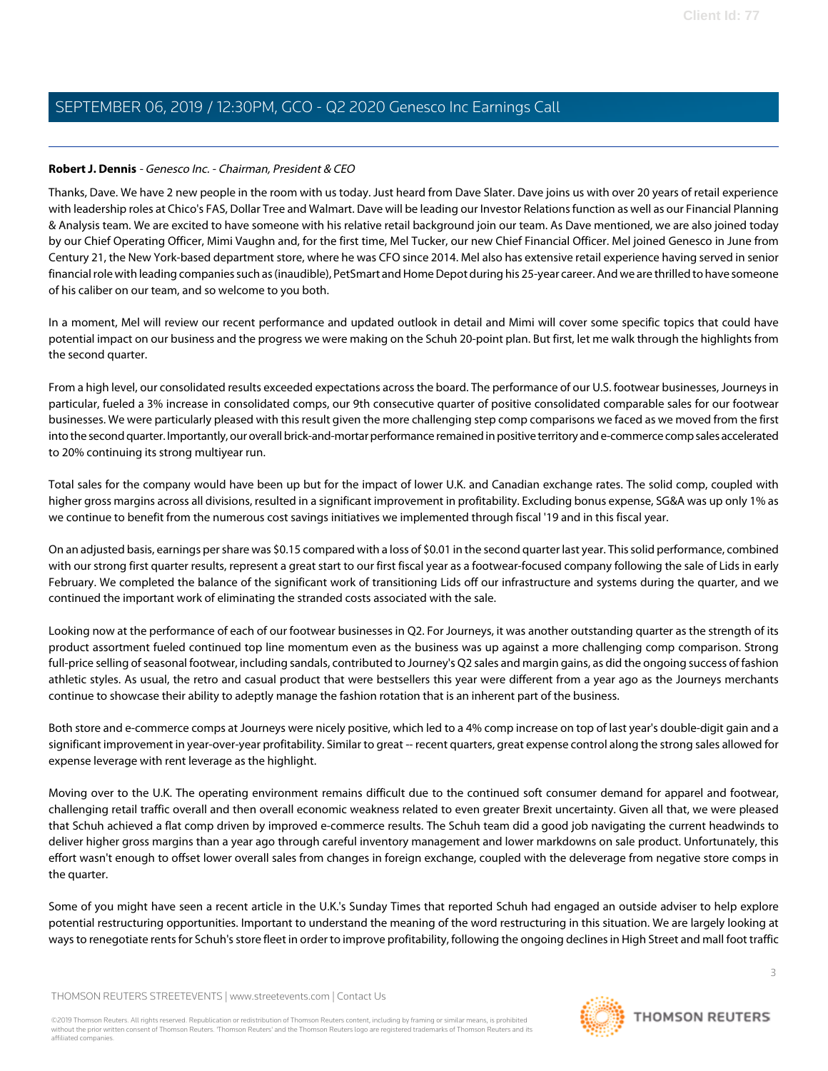### <span id="page-2-0"></span>**Robert J. Dennis** - Genesco Inc. - Chairman, President & CEO

Thanks, Dave. We have 2 new people in the room with us today. Just heard from Dave Slater. Dave joins us with over 20 years of retail experience with leadership roles at Chico's FAS, Dollar Tree and Walmart. Dave will be leading our Investor Relations function as well as our Financial Planning & Analysis team. We are excited to have someone with his relative retail background join our team. As Dave mentioned, we are also joined today by our Chief Operating Officer, Mimi Vaughn and, for the first time, Mel Tucker, our new Chief Financial Officer. Mel joined Genesco in June from Century 21, the New York-based department store, where he was CFO since 2014. Mel also has extensive retail experience having served in senior financial role with leading companies such as (inaudible), PetSmart and Home Depot during his 25-year career. And we are thrilled to have someone of his caliber on our team, and so welcome to you both.

In a moment, Mel will review our recent performance and updated outlook in detail and Mimi will cover some specific topics that could have potential impact on our business and the progress we were making on the Schuh 20-point plan. But first, let me walk through the highlights from the second quarter.

From a high level, our consolidated results exceeded expectations across the board. The performance of our U.S. footwear businesses, Journeys in particular, fueled a 3% increase in consolidated comps, our 9th consecutive quarter of positive consolidated comparable sales for our footwear businesses. We were particularly pleased with this result given the more challenging step comp comparisons we faced as we moved from the first into the second quarter. Importantly, our overall brick-and-mortar performance remained in positive territory and e-commerce comp sales accelerated to 20% continuing its strong multiyear run.

Total sales for the company would have been up but for the impact of lower U.K. and Canadian exchange rates. The solid comp, coupled with higher gross margins across all divisions, resulted in a significant improvement in profitability. Excluding bonus expense, SG&A was up only 1% as we continue to benefit from the numerous cost savings initiatives we implemented through fiscal '19 and in this fiscal year.

On an adjusted basis, earnings per share was \$0.15 compared with a loss of \$0.01 in the second quarter last year. This solid performance, combined with our strong first quarter results, represent a great start to our first fiscal year as a footwear-focused company following the sale of Lids in early February. We completed the balance of the significant work of transitioning Lids off our infrastructure and systems during the quarter, and we continued the important work of eliminating the stranded costs associated with the sale.

Looking now at the performance of each of our footwear businesses in Q2. For Journeys, it was another outstanding quarter as the strength of its product assortment fueled continued top line momentum even as the business was up against a more challenging comp comparison. Strong full-price selling of seasonal footwear, including sandals, contributed to Journey's Q2 sales and margin gains, as did the ongoing success of fashion athletic styles. As usual, the retro and casual product that were bestsellers this year were different from a year ago as the Journeys merchants continue to showcase their ability to adeptly manage the fashion rotation that is an inherent part of the business.

Both store and e-commerce comps at Journeys were nicely positive, which led to a 4% comp increase on top of last year's double-digit gain and a significant improvement in year-over-year profitability. Similar to great -- recent quarters, great expense control along the strong sales allowed for expense leverage with rent leverage as the highlight.

Moving over to the U.K. The operating environment remains difficult due to the continued soft consumer demand for apparel and footwear, challenging retail traffic overall and then overall economic weakness related to even greater Brexit uncertainty. Given all that, we were pleased that Schuh achieved a flat comp driven by improved e-commerce results. The Schuh team did a good job navigating the current headwinds to deliver higher gross margins than a year ago through careful inventory management and lower markdowns on sale product. Unfortunately, this effort wasn't enough to offset lower overall sales from changes in foreign exchange, coupled with the deleverage from negative store comps in the quarter.

Some of you might have seen a recent article in the U.K.'s Sunday Times that reported Schuh had engaged an outside adviser to help explore potential restructuring opportunities. Important to understand the meaning of the word restructuring in this situation. We are largely looking at ways to renegotiate rents for Schuh's store fleet in order to improve profitability, following the ongoing declines in High Street and mall foot traffic

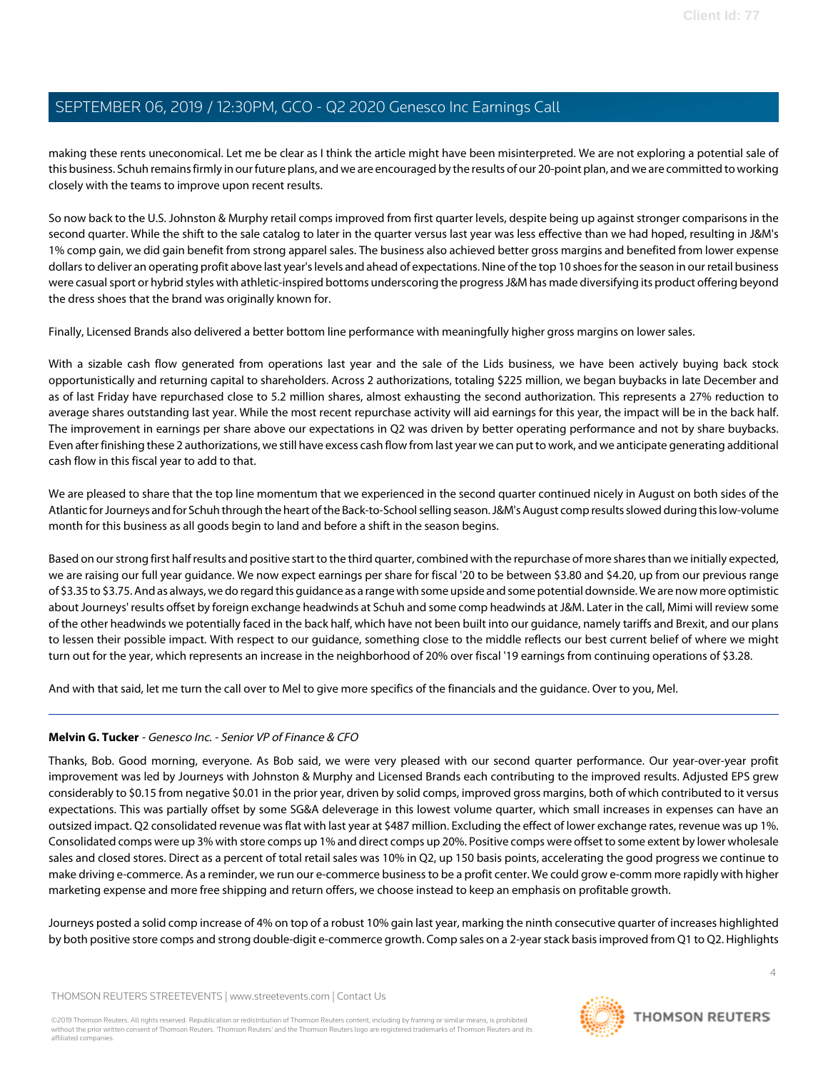making these rents uneconomical. Let me be clear as I think the article might have been misinterpreted. We are not exploring a potential sale of this business. Schuh remains firmly in our future plans, and we are encouraged by the results of our 20-point plan, and we are committed to working closely with the teams to improve upon recent results.

So now back to the U.S. Johnston & Murphy retail comps improved from first quarter levels, despite being up against stronger comparisons in the second quarter. While the shift to the sale catalog to later in the quarter versus last year was less effective than we had hoped, resulting in J&M's 1% comp gain, we did gain benefit from strong apparel sales. The business also achieved better gross margins and benefited from lower expense dollars to deliver an operating profit above last year's levels and ahead of expectations. Nine of the top 10 shoes for the season in our retail business were casual sport or hybrid styles with athletic-inspired bottoms underscoring the progress J&M has made diversifying its product offering beyond the dress shoes that the brand was originally known for.

Finally, Licensed Brands also delivered a better bottom line performance with meaningfully higher gross margins on lower sales.

With a sizable cash flow generated from operations last year and the sale of the Lids business, we have been actively buying back stock opportunistically and returning capital to shareholders. Across 2 authorizations, totaling \$225 million, we began buybacks in late December and as of last Friday have repurchased close to 5.2 million shares, almost exhausting the second authorization. This represents a 27% reduction to average shares outstanding last year. While the most recent repurchase activity will aid earnings for this year, the impact will be in the back half. The improvement in earnings per share above our expectations in Q2 was driven by better operating performance and not by share buybacks. Even after finishing these 2 authorizations, we still have excess cash flow from last year we can put to work, and we anticipate generating additional cash flow in this fiscal year to add to that.

We are pleased to share that the top line momentum that we experienced in the second quarter continued nicely in August on both sides of the Atlantic for Journeys and for Schuh through the heart of the Back-to-School selling season. J&M's August comp results slowed during this low-volume month for this business as all goods begin to land and before a shift in the season begins.

Based on our strong first half results and positive start to the third quarter, combined with the repurchase of more shares than we initially expected, we are raising our full year guidance. We now expect earnings per share for fiscal '20 to be between \$3.80 and \$4.20, up from our previous range of \$3.35 to \$3.75. And as always, we do regard this guidance as a range with some upside and some potential downside. We are now more optimistic about Journeys' results offset by foreign exchange headwinds at Schuh and some comp headwinds at J&M. Later in the call, Mimi will review some of the other headwinds we potentially faced in the back half, which have not been built into our guidance, namely tariffs and Brexit, and our plans to lessen their possible impact. With respect to our guidance, something close to the middle reflects our best current belief of where we might turn out for the year, which represents an increase in the neighborhood of 20% over fiscal '19 earnings from continuing operations of \$3.28.

<span id="page-3-0"></span>And with that said, let me turn the call over to Mel to give more specifics of the financials and the guidance. Over to you, Mel.

### **Melvin G. Tucker** - Genesco Inc. - Senior VP of Finance & CFO

Thanks, Bob. Good morning, everyone. As Bob said, we were very pleased with our second quarter performance. Our year-over-year profit improvement was led by Journeys with Johnston & Murphy and Licensed Brands each contributing to the improved results. Adjusted EPS grew considerably to \$0.15 from negative \$0.01 in the prior year, driven by solid comps, improved gross margins, both of which contributed to it versus expectations. This was partially offset by some SG&A deleverage in this lowest volume quarter, which small increases in expenses can have an outsized impact. Q2 consolidated revenue was flat with last year at \$487 million. Excluding the effect of lower exchange rates, revenue was up 1%. Consolidated comps were up 3% with store comps up 1% and direct comps up 20%. Positive comps were offset to some extent by lower wholesale sales and closed stores. Direct as a percent of total retail sales was 10% in Q2, up 150 basis points, accelerating the good progress we continue to make driving e-commerce. As a reminder, we run our e-commerce business to be a profit center. We could grow e-comm more rapidly with higher marketing expense and more free shipping and return offers, we choose instead to keep an emphasis on profitable growth.

Journeys posted a solid comp increase of 4% on top of a robust 10% gain last year, marking the ninth consecutive quarter of increases highlighted by both positive store comps and strong double-digit e-commerce growth. Comp sales on a 2-year stack basis improved from Q1 to Q2. Highlights

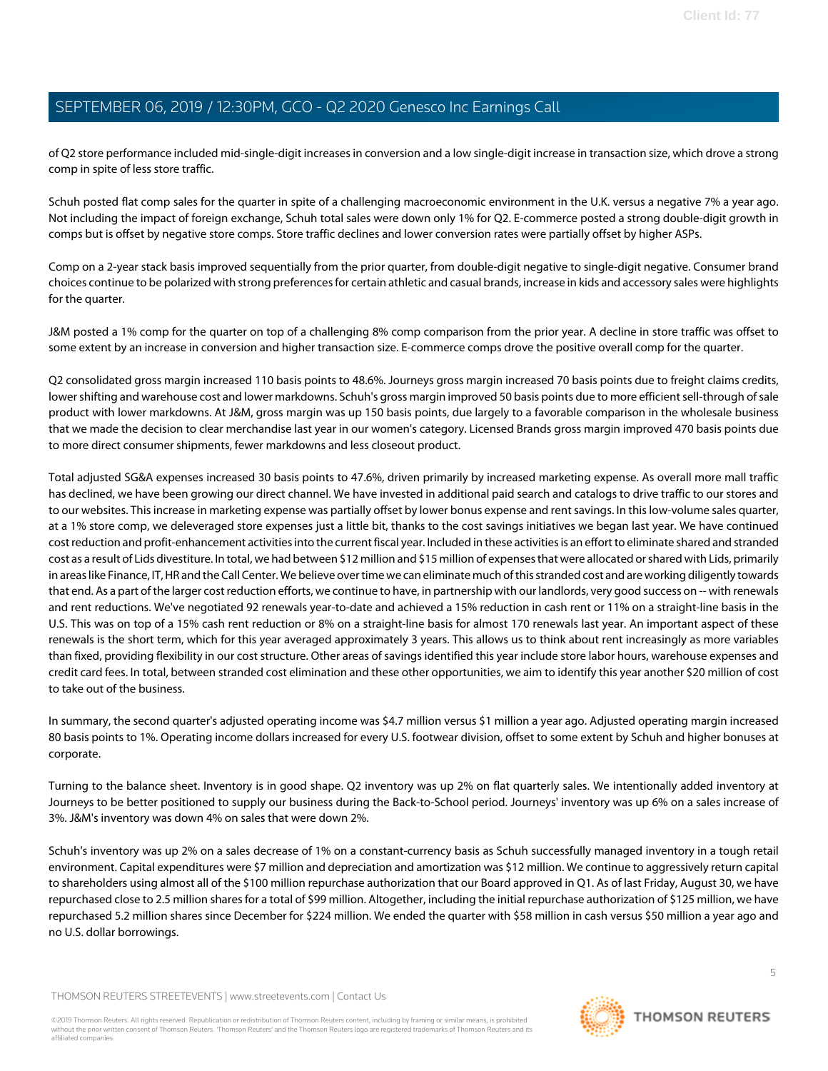of Q2 store performance included mid-single-digit increases in conversion and a low single-digit increase in transaction size, which drove a strong comp in spite of less store traffic.

Schuh posted flat comp sales for the quarter in spite of a challenging macroeconomic environment in the U.K. versus a negative 7% a year ago. Not including the impact of foreign exchange, Schuh total sales were down only 1% for Q2. E-commerce posted a strong double-digit growth in comps but is offset by negative store comps. Store traffic declines and lower conversion rates were partially offset by higher ASPs.

Comp on a 2-year stack basis improved sequentially from the prior quarter, from double-digit negative to single-digit negative. Consumer brand choices continue to be polarized with strong preferences for certain athletic and casual brands, increase in kids and accessory sales were highlights for the quarter.

J&M posted a 1% comp for the quarter on top of a challenging 8% comp comparison from the prior year. A decline in store traffic was offset to some extent by an increase in conversion and higher transaction size. E-commerce comps drove the positive overall comp for the quarter.

Q2 consolidated gross margin increased 110 basis points to 48.6%. Journeys gross margin increased 70 basis points due to freight claims credits, lower shifting and warehouse cost and lower markdowns. Schuh's gross margin improved 50 basis points due to more efficient sell-through of sale product with lower markdowns. At J&M, gross margin was up 150 basis points, due largely to a favorable comparison in the wholesale business that we made the decision to clear merchandise last year in our women's category. Licensed Brands gross margin improved 470 basis points due to more direct consumer shipments, fewer markdowns and less closeout product.

Total adjusted SG&A expenses increased 30 basis points to 47.6%, driven primarily by increased marketing expense. As overall more mall traffic has declined, we have been growing our direct channel. We have invested in additional paid search and catalogs to drive traffic to our stores and to our websites. This increase in marketing expense was partially offset by lower bonus expense and rent savings. In this low-volume sales quarter, at a 1% store comp, we deleveraged store expenses just a little bit, thanks to the cost savings initiatives we began last year. We have continued cost reduction and profit-enhancement activities into the current fiscal year. Included in these activities is an effort to eliminate shared and stranded cost as a result of Lids divestiture. In total, we had between \$12 million and \$15 million of expenses that were allocated or shared with Lids, primarily in areas like Finance, IT, HR and the Call Center. We believe over time we can eliminate much of this stranded cost and are working diligently towards that end. As a part of the larger cost reduction efforts, we continue to have, in partnership with our landlords, very good success on -- with renewals and rent reductions. We've negotiated 92 renewals year-to-date and achieved a 15% reduction in cash rent or 11% on a straight-line basis in the U.S. This was on top of a 15% cash rent reduction or 8% on a straight-line basis for almost 170 renewals last year. An important aspect of these renewals is the short term, which for this year averaged approximately 3 years. This allows us to think about rent increasingly as more variables than fixed, providing flexibility in our cost structure. Other areas of savings identified this year include store labor hours, warehouse expenses and credit card fees. In total, between stranded cost elimination and these other opportunities, we aim to identify this year another \$20 million of cost to take out of the business.

In summary, the second quarter's adjusted operating income was \$4.7 million versus \$1 million a year ago. Adjusted operating margin increased 80 basis points to 1%. Operating income dollars increased for every U.S. footwear division, offset to some extent by Schuh and higher bonuses at corporate.

Turning to the balance sheet. Inventory is in good shape. Q2 inventory was up 2% on flat quarterly sales. We intentionally added inventory at Journeys to be better positioned to supply our business during the Back-to-School period. Journeys' inventory was up 6% on a sales increase of 3%. J&M's inventory was down 4% on sales that were down 2%.

Schuh's inventory was up 2% on a sales decrease of 1% on a constant-currency basis as Schuh successfully managed inventory in a tough retail environment. Capital expenditures were \$7 million and depreciation and amortization was \$12 million. We continue to aggressively return capital to shareholders using almost all of the \$100 million repurchase authorization that our Board approved in Q1. As of last Friday, August 30, we have repurchased close to 2.5 million shares for a total of \$99 million. Altogether, including the initial repurchase authorization of \$125 million, we have repurchased 5.2 million shares since December for \$224 million. We ended the quarter with \$58 million in cash versus \$50 million a year ago and no U.S. dollar borrowings.

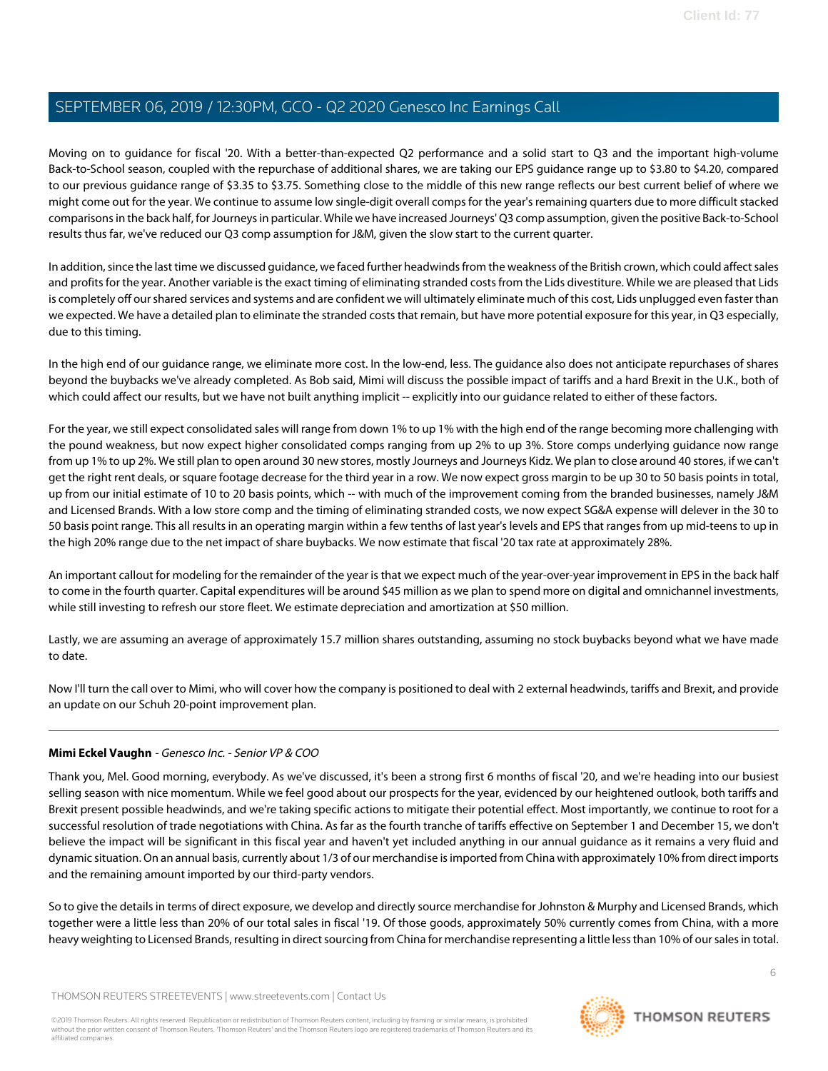Moving on to guidance for fiscal '20. With a better-than-expected Q2 performance and a solid start to Q3 and the important high-volume Back-to-School season, coupled with the repurchase of additional shares, we are taking our EPS guidance range up to \$3.80 to \$4.20, compared to our previous guidance range of \$3.35 to \$3.75. Something close to the middle of this new range reflects our best current belief of where we might come out for the year. We continue to assume low single-digit overall comps for the year's remaining quarters due to more difficult stacked comparisons in the back half, for Journeys in particular. While we have increased Journeys' Q3 comp assumption, given the positive Back-to-School results thus far, we've reduced our Q3 comp assumption for J&M, given the slow start to the current quarter.

In addition, since the last time we discussed guidance, we faced further headwinds from the weakness of the British crown, which could affect sales and profits for the year. Another variable is the exact timing of eliminating stranded costs from the Lids divestiture. While we are pleased that Lids is completely off our shared services and systems and are confident we will ultimately eliminate much of this cost, Lids unplugged even faster than we expected. We have a detailed plan to eliminate the stranded costs that remain, but have more potential exposure for this year, in Q3 especially, due to this timing.

In the high end of our guidance range, we eliminate more cost. In the low-end, less. The guidance also does not anticipate repurchases of shares beyond the buybacks we've already completed. As Bob said, Mimi will discuss the possible impact of tariffs and a hard Brexit in the U.K., both of which could affect our results, but we have not built anything implicit -- explicitly into our quidance related to either of these factors.

For the year, we still expect consolidated sales will range from down 1% to up 1% with the high end of the range becoming more challenging with the pound weakness, but now expect higher consolidated comps ranging from up 2% to up 3%. Store comps underlying guidance now range from up 1% to up 2%. We still plan to open around 30 new stores, mostly Journeys and Journeys Kidz. We plan to close around 40 stores, if we can't get the right rent deals, or square footage decrease for the third year in a row. We now expect gross margin to be up 30 to 50 basis points in total, up from our initial estimate of 10 to 20 basis points, which -- with much of the improvement coming from the branded businesses, namely J&M and Licensed Brands. With a low store comp and the timing of eliminating stranded costs, we now expect SG&A expense will delever in the 30 to 50 basis point range. This all results in an operating margin within a few tenths of last year's levels and EPS that ranges from up mid-teens to up in the high 20% range due to the net impact of share buybacks. We now estimate that fiscal '20 tax rate at approximately 28%.

An important callout for modeling for the remainder of the year is that we expect much of the year-over-year improvement in EPS in the back half to come in the fourth quarter. Capital expenditures will be around \$45 million as we plan to spend more on digital and omnichannel investments, while still investing to refresh our store fleet. We estimate depreciation and amortization at \$50 million.

Lastly, we are assuming an average of approximately 15.7 million shares outstanding, assuming no stock buybacks beyond what we have made to date.

<span id="page-5-0"></span>Now I'll turn the call over to Mimi, who will cover how the company is positioned to deal with 2 external headwinds, tariffs and Brexit, and provide an update on our Schuh 20-point improvement plan.

### **Mimi Eckel Vaughn** - Genesco Inc. - Senior VP & COO

Thank you, Mel. Good morning, everybody. As we've discussed, it's been a strong first 6 months of fiscal '20, and we're heading into our busiest selling season with nice momentum. While we feel good about our prospects for the year, evidenced by our heightened outlook, both tariffs and Brexit present possible headwinds, and we're taking specific actions to mitigate their potential effect. Most importantly, we continue to root for a successful resolution of trade negotiations with China. As far as the fourth tranche of tariffs effective on September 1 and December 15, we don't believe the impact will be significant in this fiscal year and haven't yet included anything in our annual guidance as it remains a very fluid and dynamic situation. On an annual basis, currently about 1/3 of our merchandise is imported from China with approximately 10% from direct imports and the remaining amount imported by our third-party vendors.

So to give the details in terms of direct exposure, we develop and directly source merchandise for Johnston & Murphy and Licensed Brands, which together were a little less than 20% of our total sales in fiscal '19. Of those goods, approximately 50% currently comes from China, with a more heavy weighting to Licensed Brands, resulting in direct sourcing from China for merchandise representing a little less than 10% of our sales in total.

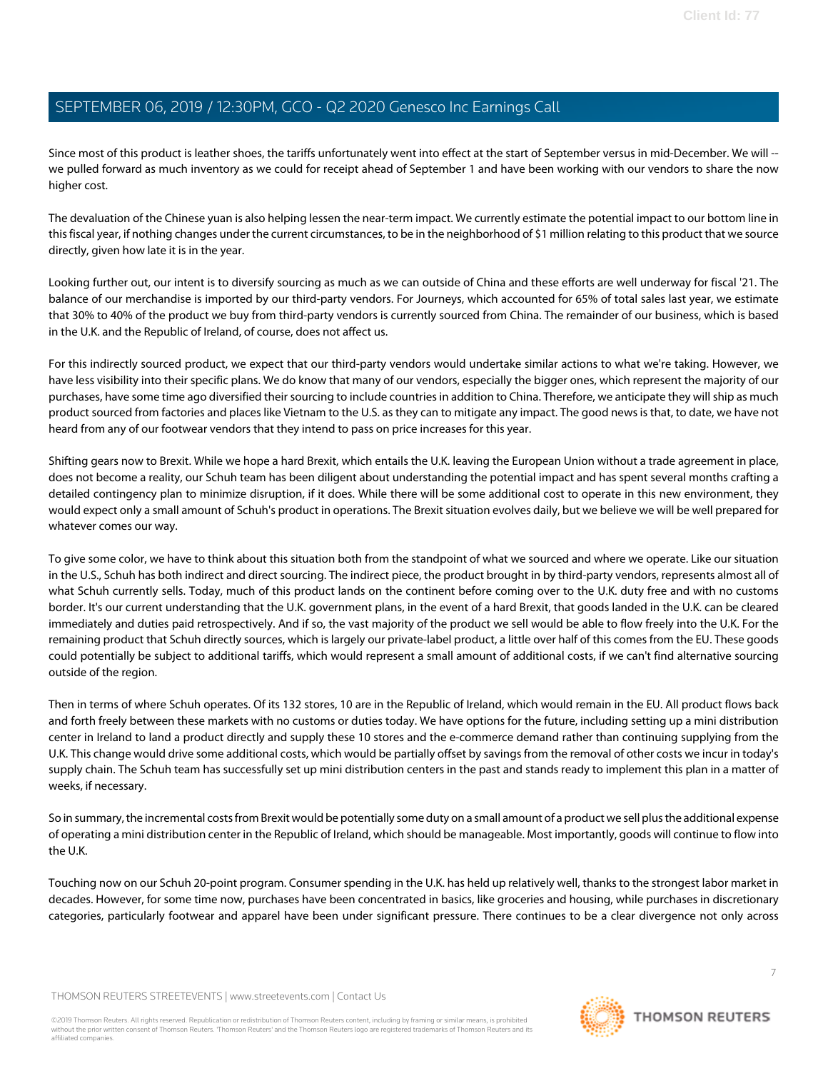Since most of this product is leather shoes, the tariffs unfortunately went into effect at the start of September versus in mid-December. We will - we pulled forward as much inventory as we could for receipt ahead of September 1 and have been working with our vendors to share the now higher cost.

The devaluation of the Chinese yuan is also helping lessen the near-term impact. We currently estimate the potential impact to our bottom line in this fiscal year, if nothing changes under the current circumstances, to be in the neighborhood of \$1 million relating to this product that we source directly, given how late it is in the year.

Looking further out, our intent is to diversify sourcing as much as we can outside of China and these efforts are well underway for fiscal '21. The balance of our merchandise is imported by our third-party vendors. For Journeys, which accounted for 65% of total sales last year, we estimate that 30% to 40% of the product we buy from third-party vendors is currently sourced from China. The remainder of our business, which is based in the U.K. and the Republic of Ireland, of course, does not affect us.

For this indirectly sourced product, we expect that our third-party vendors would undertake similar actions to what we're taking. However, we have less visibility into their specific plans. We do know that many of our vendors, especially the bigger ones, which represent the majority of our purchases, have some time ago diversified their sourcing to include countries in addition to China. Therefore, we anticipate they will ship as much product sourced from factories and places like Vietnam to the U.S. as they can to mitigate any impact. The good news is that, to date, we have not heard from any of our footwear vendors that they intend to pass on price increases for this year.

Shifting gears now to Brexit. While we hope a hard Brexit, which entails the U.K. leaving the European Union without a trade agreement in place, does not become a reality, our Schuh team has been diligent about understanding the potential impact and has spent several months crafting a detailed contingency plan to minimize disruption, if it does. While there will be some additional cost to operate in this new environment, they would expect only a small amount of Schuh's product in operations. The Brexit situation evolves daily, but we believe we will be well prepared for whatever comes our way.

To give some color, we have to think about this situation both from the standpoint of what we sourced and where we operate. Like our situation in the U.S., Schuh has both indirect and direct sourcing. The indirect piece, the product brought in by third-party vendors, represents almost all of what Schuh currently sells. Today, much of this product lands on the continent before coming over to the U.K. duty free and with no customs border. It's our current understanding that the U.K. government plans, in the event of a hard Brexit, that goods landed in the U.K. can be cleared immediately and duties paid retrospectively. And if so, the vast majority of the product we sell would be able to flow freely into the U.K. For the remaining product that Schuh directly sources, which is largely our private-label product, a little over half of this comes from the EU. These goods could potentially be subject to additional tariffs, which would represent a small amount of additional costs, if we can't find alternative sourcing outside of the region.

Then in terms of where Schuh operates. Of its 132 stores, 10 are in the Republic of Ireland, which would remain in the EU. All product flows back and forth freely between these markets with no customs or duties today. We have options for the future, including setting up a mini distribution center in Ireland to land a product directly and supply these 10 stores and the e-commerce demand rather than continuing supplying from the U.K. This change would drive some additional costs, which would be partially offset by savings from the removal of other costs we incur in today's supply chain. The Schuh team has successfully set up mini distribution centers in the past and stands ready to implement this plan in a matter of weeks, if necessary.

So in summary, the incremental costs from Brexit would be potentially some duty on a small amount of a product we sell plus the additional expense of operating a mini distribution center in the Republic of Ireland, which should be manageable. Most importantly, goods will continue to flow into the U.K.

Touching now on our Schuh 20-point program. Consumer spending in the U.K. has held up relatively well, thanks to the strongest labor market in decades. However, for some time now, purchases have been concentrated in basics, like groceries and housing, while purchases in discretionary categories, particularly footwear and apparel have been under significant pressure. There continues to be a clear divergence not only across

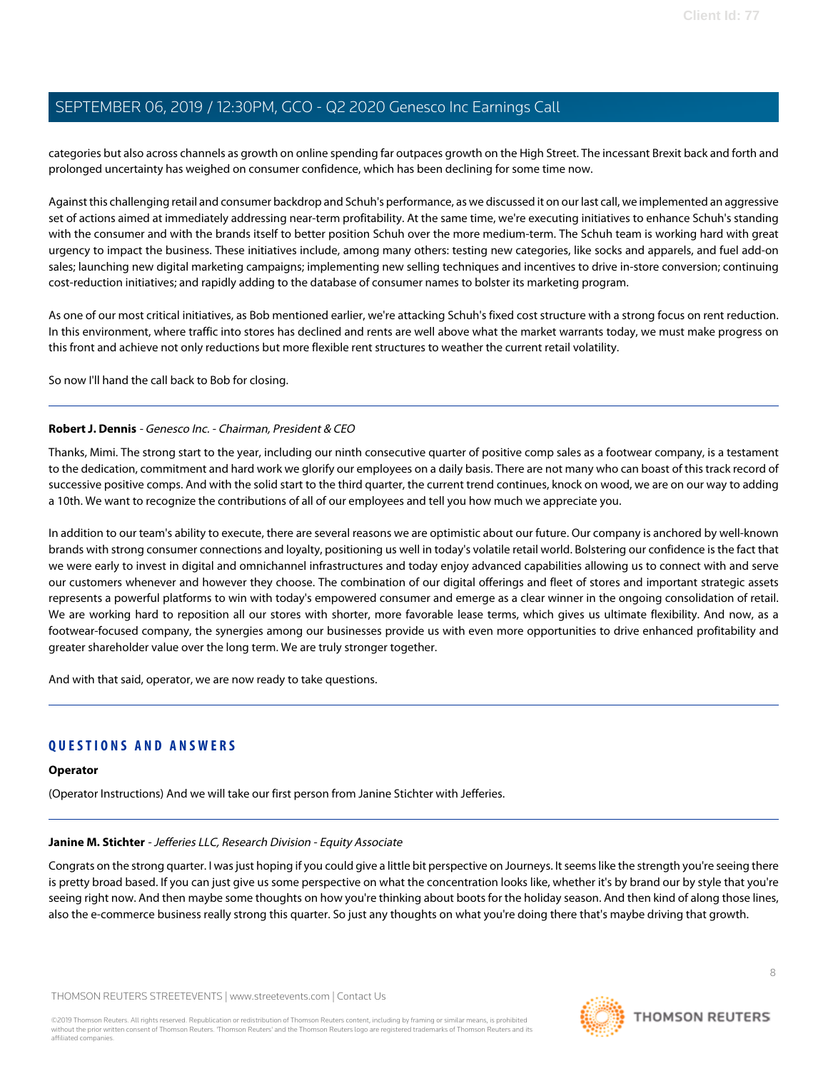categories but also across channels as growth on online spending far outpaces growth on the High Street. The incessant Brexit back and forth and prolonged uncertainty has weighed on consumer confidence, which has been declining for some time now.

Against this challenging retail and consumer backdrop and Schuh's performance, as we discussed it on our last call, we implemented an aggressive set of actions aimed at immediately addressing near-term profitability. At the same time, we're executing initiatives to enhance Schuh's standing with the consumer and with the brands itself to better position Schuh over the more medium-term. The Schuh team is working hard with great urgency to impact the business. These initiatives include, among many others: testing new categories, like socks and apparels, and fuel add-on sales; launching new digital marketing campaigns; implementing new selling techniques and incentives to drive in-store conversion; continuing cost-reduction initiatives; and rapidly adding to the database of consumer names to bolster its marketing program.

As one of our most critical initiatives, as Bob mentioned earlier, we're attacking Schuh's fixed cost structure with a strong focus on rent reduction. In this environment, where traffic into stores has declined and rents are well above what the market warrants today, we must make progress on this front and achieve not only reductions but more flexible rent structures to weather the current retail volatility.

So now I'll hand the call back to Bob for closing.

### **Robert J. Dennis** - Genesco Inc. - Chairman, President & CEO

Thanks, Mimi. The strong start to the year, including our ninth consecutive quarter of positive comp sales as a footwear company, is a testament to the dedication, commitment and hard work we glorify our employees on a daily basis. There are not many who can boast of this track record of successive positive comps. And with the solid start to the third quarter, the current trend continues, knock on wood, we are on our way to adding a 10th. We want to recognize the contributions of all of our employees and tell you how much we appreciate you.

In addition to our team's ability to execute, there are several reasons we are optimistic about our future. Our company is anchored by well-known brands with strong consumer connections and loyalty, positioning us well in today's volatile retail world. Bolstering our confidence is the fact that we were early to invest in digital and omnichannel infrastructures and today enjoy advanced capabilities allowing us to connect with and serve our customers whenever and however they choose. The combination of our digital offerings and fleet of stores and important strategic assets represents a powerful platforms to win with today's empowered consumer and emerge as a clear winner in the ongoing consolidation of retail. We are working hard to reposition all our stores with shorter, more favorable lease terms, which gives us ultimate flexibility. And now, as a footwear-focused company, the synergies among our businesses provide us with even more opportunities to drive enhanced profitability and greater shareholder value over the long term. We are truly stronger together.

And with that said, operator, we are now ready to take questions.

### **QUESTIONS AND ANSWERS**

#### <span id="page-7-0"></span>**Operator**

(Operator Instructions) And we will take our first person from Janine Stichter with Jefferies.

### **Janine M. Stichter** - Jefferies LLC, Research Division - Equity Associate

Congrats on the strong quarter. I was just hoping if you could give a little bit perspective on Journeys. It seems like the strength you're seeing there is pretty broad based. If you can just give us some perspective on what the concentration looks like, whether it's by brand our by style that you're seeing right now. And then maybe some thoughts on how you're thinking about boots for the holiday season. And then kind of along those lines, also the e-commerce business really strong this quarter. So just any thoughts on what you're doing there that's maybe driving that growth.

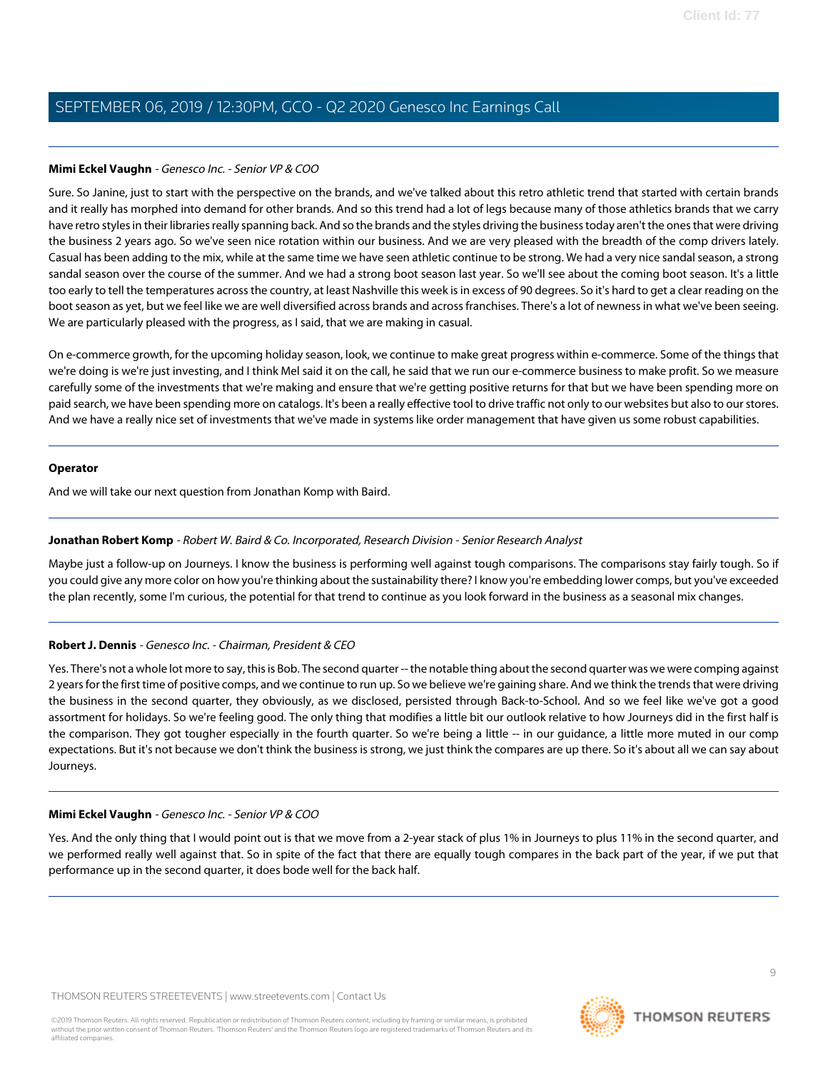### **Mimi Eckel Vaughn** - Genesco Inc. - Senior VP & COO

Sure. So Janine, just to start with the perspective on the brands, and we've talked about this retro athletic trend that started with certain brands and it really has morphed into demand for other brands. And so this trend had a lot of legs because many of those athletics brands that we carry have retro styles in their libraries really spanning back. And so the brands and the styles driving the business today aren't the ones that were driving the business 2 years ago. So we've seen nice rotation within our business. And we are very pleased with the breadth of the comp drivers lately. Casual has been adding to the mix, while at the same time we have seen athletic continue to be strong. We had a very nice sandal season, a strong sandal season over the course of the summer. And we had a strong boot season last year. So we'll see about the coming boot season. It's a little too early to tell the temperatures across the country, at least Nashville this week is in excess of 90 degrees. So it's hard to get a clear reading on the boot season as yet, but we feel like we are well diversified across brands and across franchises. There's a lot of newness in what we've been seeing. We are particularly pleased with the progress, as I said, that we are making in casual.

On e-commerce growth, for the upcoming holiday season, look, we continue to make great progress within e-commerce. Some of the things that we're doing is we're just investing, and I think Mel said it on the call, he said that we run our e-commerce business to make profit. So we measure carefully some of the investments that we're making and ensure that we're getting positive returns for that but we have been spending more on paid search, we have been spending more on catalogs. It's been a really effective tool to drive traffic not only to our websites but also to our stores. And we have a really nice set of investments that we've made in systems like order management that have given us some robust capabilities.

### **Operator**

<span id="page-8-0"></span>And we will take our next question from Jonathan Komp with Baird.

### **Jonathan Robert Komp** - Robert W. Baird & Co. Incorporated, Research Division - Senior Research Analyst

Maybe just a follow-up on Journeys. I know the business is performing well against tough comparisons. The comparisons stay fairly tough. So if you could give any more color on how you're thinking about the sustainability there? I know you're embedding lower comps, but you've exceeded the plan recently, some I'm curious, the potential for that trend to continue as you look forward in the business as a seasonal mix changes.

### **Robert J. Dennis** - Genesco Inc. - Chairman, President & CEO

Yes. There's not a whole lot more to say, this is Bob. The second quarter -- the notable thing about the second quarter was we were comping against 2 years for the first time of positive comps, and we continue to run up. So we believe we're gaining share. And we think the trends that were driving the business in the second quarter, they obviously, as we disclosed, persisted through Back-to-School. And so we feel like we've got a good assortment for holidays. So we're feeling good. The only thing that modifies a little bit our outlook relative to how Journeys did in the first half is the comparison. They got tougher especially in the fourth quarter. So we're being a little -- in our guidance, a little more muted in our comp expectations. But it's not because we don't think the business is strong, we just think the compares are up there. So it's about all we can say about Journeys.

### **Mimi Eckel Vaughn** - Genesco Inc. - Senior VP & COO

Yes. And the only thing that I would point out is that we move from a 2-year stack of plus 1% in Journeys to plus 11% in the second quarter, and we performed really well against that. So in spite of the fact that there are equally tough compares in the back part of the year, if we put that performance up in the second quarter, it does bode well for the back half.

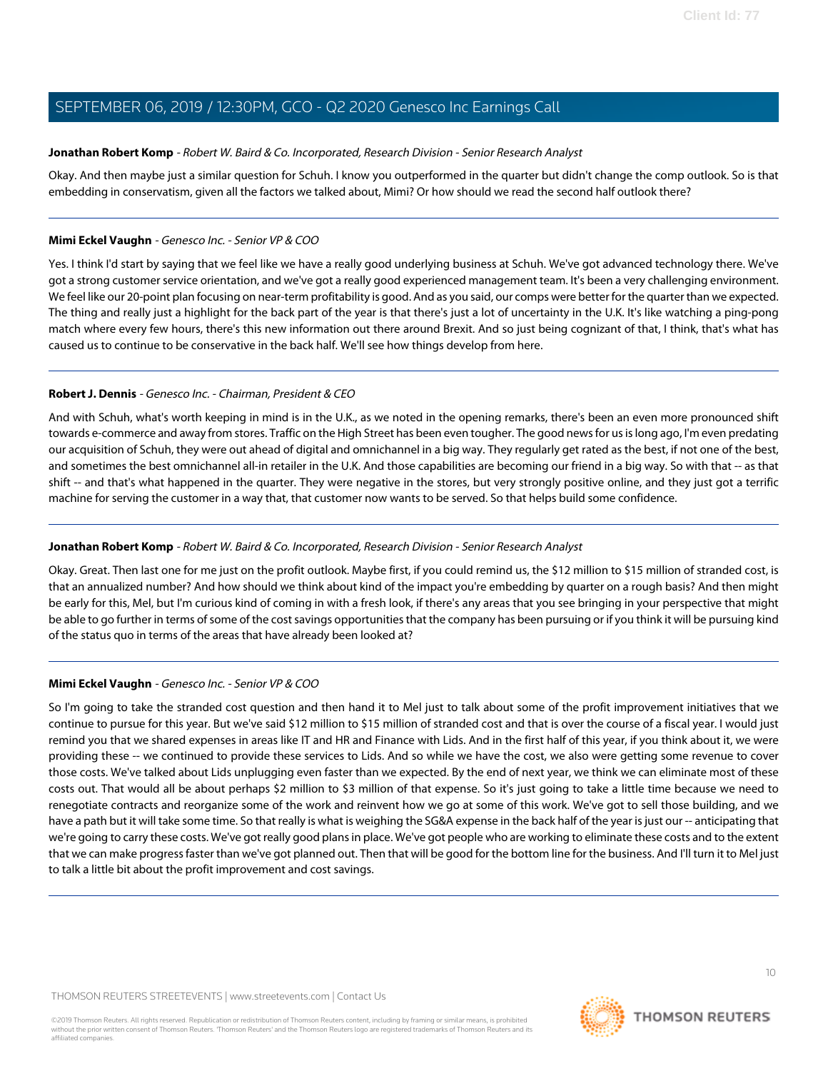### **Jonathan Robert Komp** - Robert W. Baird & Co. Incorporated, Research Division - Senior Research Analyst

Okay. And then maybe just a similar question for Schuh. I know you outperformed in the quarter but didn't change the comp outlook. So is that embedding in conservatism, given all the factors we talked about, Mimi? Or how should we read the second half outlook there?

### **Mimi Eckel Vaughn** - Genesco Inc. - Senior VP & COO

Yes. I think I'd start by saying that we feel like we have a really good underlying business at Schuh. We've got advanced technology there. We've got a strong customer service orientation, and we've got a really good experienced management team. It's been a very challenging environment. We feel like our 20-point plan focusing on near-term profitability is good. And as you said, our comps were better for the quarter than we expected. The thing and really just a highlight for the back part of the year is that there's just a lot of uncertainty in the U.K. It's like watching a ping-pong match where every few hours, there's this new information out there around Brexit. And so just being cognizant of that, I think, that's what has caused us to continue to be conservative in the back half. We'll see how things develop from here.

### **Robert J. Dennis** - Genesco Inc. - Chairman, President & CEO

And with Schuh, what's worth keeping in mind is in the U.K., as we noted in the opening remarks, there's been an even more pronounced shift towards e-commerce and away from stores. Traffic on the High Street has been even tougher. The good news for us is long ago, I'm even predating our acquisition of Schuh, they were out ahead of digital and omnichannel in a big way. They regularly get rated as the best, if not one of the best, and sometimes the best omnichannel all-in retailer in the U.K. And those capabilities are becoming our friend in a big way. So with that -- as that shift -- and that's what happened in the quarter. They were negative in the stores, but very strongly positive online, and they just got a terrific machine for serving the customer in a way that, that customer now wants to be served. So that helps build some confidence.

### **Jonathan Robert Komp** - Robert W. Baird & Co. Incorporated, Research Division - Senior Research Analyst

Okay. Great. Then last one for me just on the profit outlook. Maybe first, if you could remind us, the \$12 million to \$15 million of stranded cost, is that an annualized number? And how should we think about kind of the impact you're embedding by quarter on a rough basis? And then might be early for this, Mel, but I'm curious kind of coming in with a fresh look, if there's any areas that you see bringing in your perspective that might be able to go further in terms of some of the cost savings opportunities that the company has been pursuing or if you think it will be pursuing kind of the status quo in terms of the areas that have already been looked at?

### **Mimi Eckel Vaughn** - Genesco Inc. - Senior VP & COO

So I'm going to take the stranded cost question and then hand it to Mel just to talk about some of the profit improvement initiatives that we continue to pursue for this year. But we've said \$12 million to \$15 million of stranded cost and that is over the course of a fiscal year. I would just remind you that we shared expenses in areas like IT and HR and Finance with Lids. And in the first half of this year, if you think about it, we were providing these -- we continued to provide these services to Lids. And so while we have the cost, we also were getting some revenue to cover those costs. We've talked about Lids unplugging even faster than we expected. By the end of next year, we think we can eliminate most of these costs out. That would all be about perhaps \$2 million to \$3 million of that expense. So it's just going to take a little time because we need to renegotiate contracts and reorganize some of the work and reinvent how we go at some of this work. We've got to sell those building, and we have a path but it will take some time. So that really is what is weighing the SG&A expense in the back half of the year is just our -- anticipating that we're going to carry these costs. We've got really good plans in place. We've got people who are working to eliminate these costs and to the extent that we can make progress faster than we've got planned out. Then that will be good for the bottom line for the business. And I'll turn it to Mel just to talk a little bit about the profit improvement and cost savings.

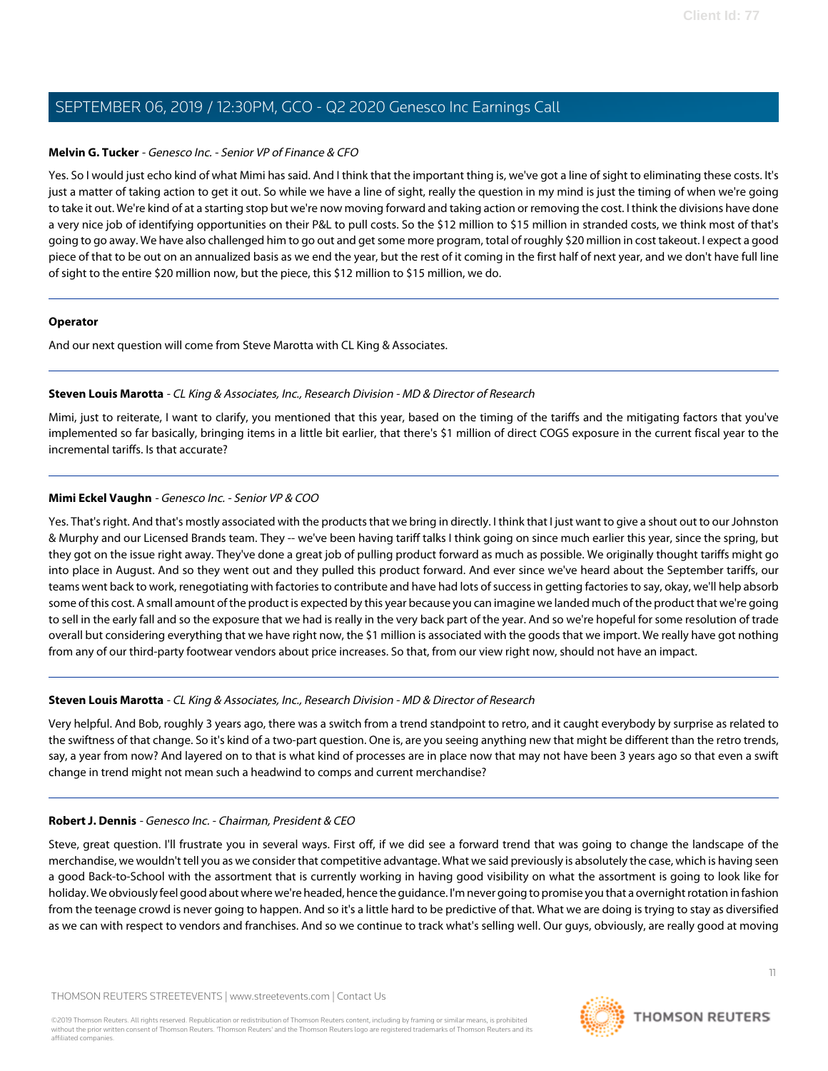### **Melvin G. Tucker** - Genesco Inc. - Senior VP of Finance & CFO

Yes. So I would just echo kind of what Mimi has said. And I think that the important thing is, we've got a line of sight to eliminating these costs. It's just a matter of taking action to get it out. So while we have a line of sight, really the question in my mind is just the timing of when we're going to take it out. We're kind of at a starting stop but we're now moving forward and taking action or removing the cost. I think the divisions have done a very nice job of identifying opportunities on their P&L to pull costs. So the \$12 million to \$15 million in stranded costs, we think most of that's going to go away. We have also challenged him to go out and get some more program, total of roughly \$20 million in cost takeout. I expect a good piece of that to be out on an annualized basis as we end the year, but the rest of it coming in the first half of next year, and we don't have full line of sight to the entire \$20 million now, but the piece, this \$12 million to \$15 million, we do.

#### **Operator**

<span id="page-10-0"></span>And our next question will come from Steve Marotta with CL King & Associates.

### **Steven Louis Marotta** - CL King & Associates, Inc., Research Division - MD & Director of Research

Mimi, just to reiterate, I want to clarify, you mentioned that this year, based on the timing of the tariffs and the mitigating factors that you've implemented so far basically, bringing items in a little bit earlier, that there's \$1 million of direct COGS exposure in the current fiscal year to the incremental tariffs. Is that accurate?

### **Mimi Eckel Vaughn** - Genesco Inc. - Senior VP & COO

Yes. That's right. And that's mostly associated with the products that we bring in directly. I think that I just want to give a shout out to our Johnston & Murphy and our Licensed Brands team. They -- we've been having tariff talks I think going on since much earlier this year, since the spring, but they got on the issue right away. They've done a great job of pulling product forward as much as possible. We originally thought tariffs might go into place in August. And so they went out and they pulled this product forward. And ever since we've heard about the September tariffs, our teams went back to work, renegotiating with factories to contribute and have had lots of success in getting factories to say, okay, we'll help absorb some of this cost. A small amount of the product is expected by this year because you can imagine we landed much of the product that we're going to sell in the early fall and so the exposure that we had is really in the very back part of the year. And so we're hopeful for some resolution of trade overall but considering everything that we have right now, the \$1 million is associated with the goods that we import. We really have got nothing from any of our third-party footwear vendors about price increases. So that, from our view right now, should not have an impact.

### **Steven Louis Marotta** - CL King & Associates, Inc., Research Division - MD & Director of Research

Very helpful. And Bob, roughly 3 years ago, there was a switch from a trend standpoint to retro, and it caught everybody by surprise as related to the swiftness of that change. So it's kind of a two-part question. One is, are you seeing anything new that might be different than the retro trends, say, a year from now? And layered on to that is what kind of processes are in place now that may not have been 3 years ago so that even a swift change in trend might not mean such a headwind to comps and current merchandise?

### **Robert J. Dennis** - Genesco Inc. - Chairman, President & CEO

Steve, great question. I'll frustrate you in several ways. First off, if we did see a forward trend that was going to change the landscape of the merchandise, we wouldn't tell you as we consider that competitive advantage. What we said previously is absolutely the case, which is having seen a good Back-to-School with the assortment that is currently working in having good visibility on what the assortment is going to look like for holiday. We obviously feel good about where we're headed, hence the guidance. I'm never going to promise you that a overnight rotation in fashion from the teenage crowd is never going to happen. And so it's a little hard to be predictive of that. What we are doing is trying to stay as diversified as we can with respect to vendors and franchises. And so we continue to track what's selling well. Our guys, obviously, are really good at moving

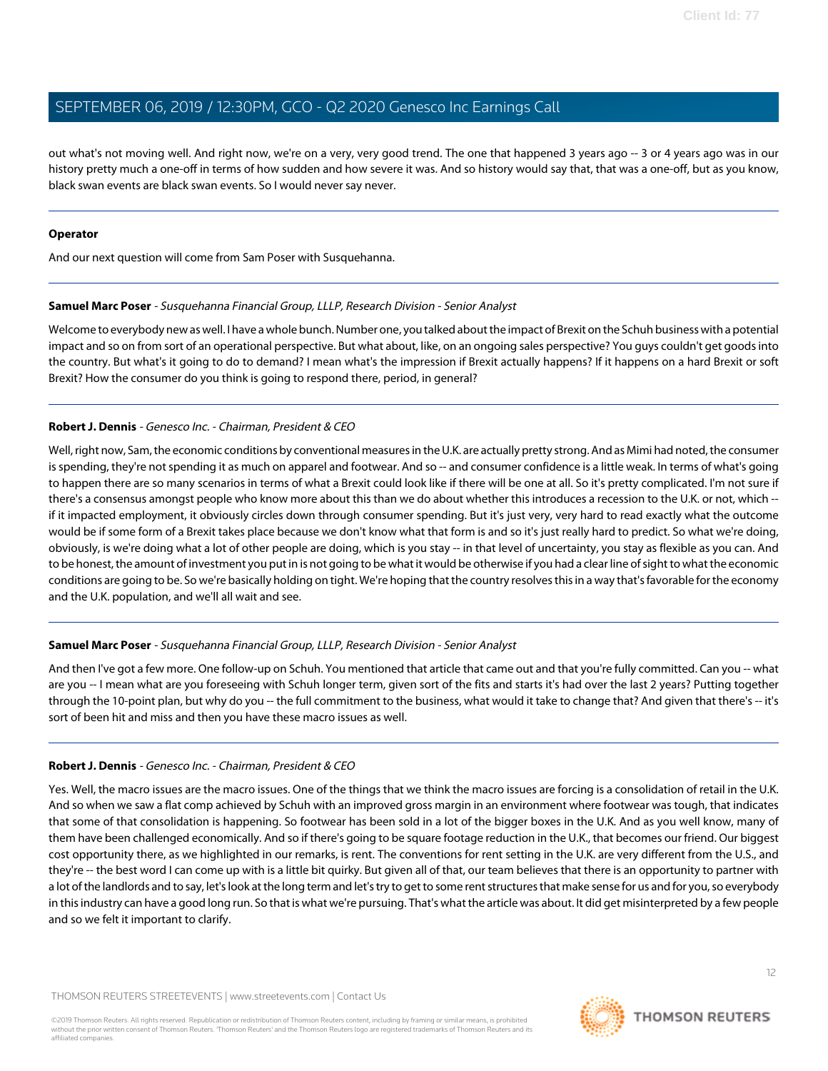out what's not moving well. And right now, we're on a very, very good trend. The one that happened 3 years ago -- 3 or 4 years ago was in our history pretty much a one-off in terms of how sudden and how severe it was. And so history would say that, that was a one-off, but as you know, black swan events are black swan events. So I would never say never.

### **Operator**

<span id="page-11-0"></span>And our next question will come from Sam Poser with Susquehanna.

#### **Samuel Marc Poser** - Susquehanna Financial Group, LLLP, Research Division - Senior Analyst

Welcome to everybody new as well. I have a whole bunch. Number one, you talked about the impact of Brexit on the Schuh business with a potential impact and so on from sort of an operational perspective. But what about, like, on an ongoing sales perspective? You guys couldn't get goods into the country. But what's it going to do to demand? I mean what's the impression if Brexit actually happens? If it happens on a hard Brexit or soft Brexit? How the consumer do you think is going to respond there, period, in general?

### **Robert J. Dennis** - Genesco Inc. - Chairman, President & CEO

Well, right now, Sam, the economic conditions by conventional measures in the U.K. are actually pretty strong. And as Mimi had noted, the consumer is spending, they're not spending it as much on apparel and footwear. And so -- and consumer confidence is a little weak. In terms of what's going to happen there are so many scenarios in terms of what a Brexit could look like if there will be one at all. So it's pretty complicated. I'm not sure if there's a consensus amongst people who know more about this than we do about whether this introduces a recession to the U.K. or not, which - if it impacted employment, it obviously circles down through consumer spending. But it's just very, very hard to read exactly what the outcome would be if some form of a Brexit takes place because we don't know what that form is and so it's just really hard to predict. So what we're doing, obviously, is we're doing what a lot of other people are doing, which is you stay -- in that level of uncertainty, you stay as flexible as you can. And to be honest, the amount of investment you put in is not going to be what it would be otherwise if you had a clear line of sight to what the economic conditions are going to be. So we're basically holding on tight. We're hoping that the country resolves this in a way that's favorable for the economy and the U.K. population, and we'll all wait and see.

### **Samuel Marc Poser** - Susquehanna Financial Group, LLLP, Research Division - Senior Analyst

And then I've got a few more. One follow-up on Schuh. You mentioned that article that came out and that you're fully committed. Can you -- what are you -- I mean what are you foreseeing with Schuh longer term, given sort of the fits and starts it's had over the last 2 years? Putting together through the 10-point plan, but why do you -- the full commitment to the business, what would it take to change that? And given that there's -- it's sort of been hit and miss and then you have these macro issues as well.

### **Robert J. Dennis** - Genesco Inc. - Chairman, President & CEO

Yes. Well, the macro issues are the macro issues. One of the things that we think the macro issues are forcing is a consolidation of retail in the U.K. And so when we saw a flat comp achieved by Schuh with an improved gross margin in an environment where footwear was tough, that indicates that some of that consolidation is happening. So footwear has been sold in a lot of the bigger boxes in the U.K. And as you well know, many of them have been challenged economically. And so if there's going to be square footage reduction in the U.K., that becomes our friend. Our biggest cost opportunity there, as we highlighted in our remarks, is rent. The conventions for rent setting in the U.K. are very different from the U.S., and they're -- the best word I can come up with is a little bit quirky. But given all of that, our team believes that there is an opportunity to partner with a lot of the landlords and to say, let's look at the long term and let's try to get to some rent structures that make sense for us and for you, so everybody in this industry can have a good long run. So that is what we're pursuing. That's what the article was about. It did get misinterpreted by a few people and so we felt it important to clarify.

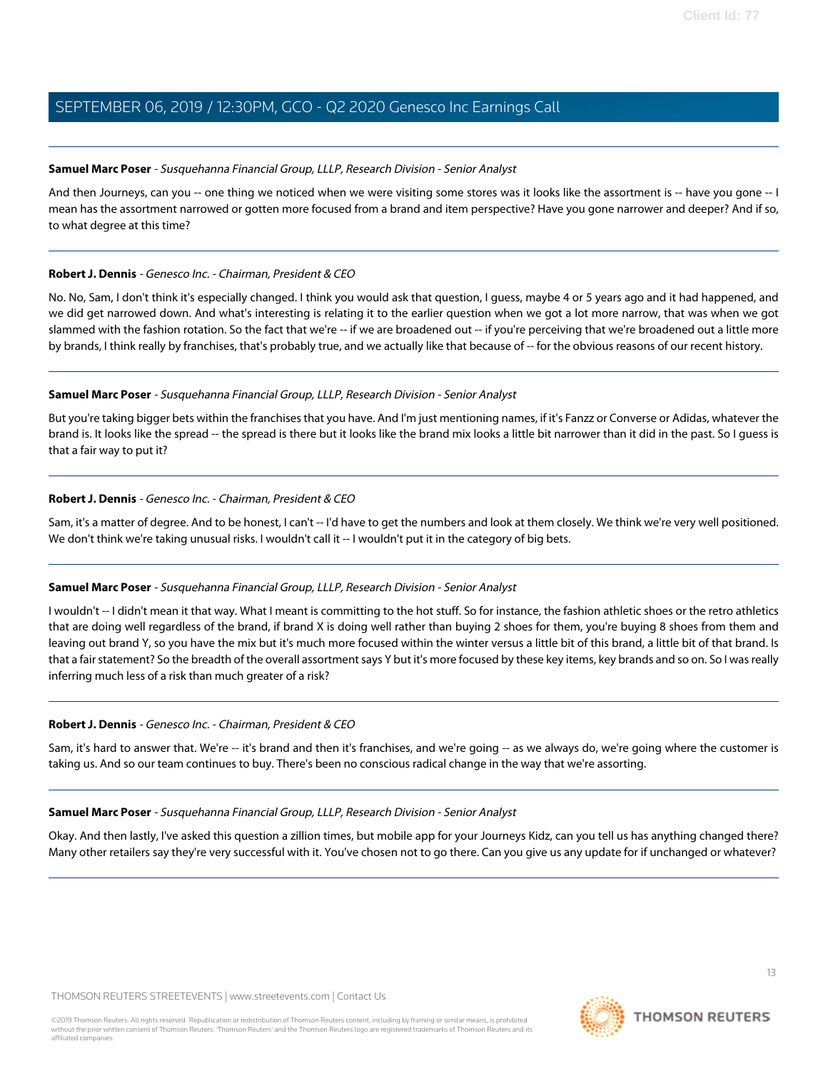### **Samuel Marc Poser** - Susquehanna Financial Group, LLLP, Research Division - Senior Analyst

And then Journeys, can you -- one thing we noticed when we were visiting some stores was it looks like the assortment is -- have you gone -- I mean has the assortment narrowed or gotten more focused from a brand and item perspective? Have you gone narrower and deeper? And if so, to what degree at this time?

### **Robert J. Dennis** - Genesco Inc. - Chairman, President & CEO

No. No, Sam, I don't think it's especially changed. I think you would ask that question, I guess, maybe 4 or 5 years ago and it had happened, and we did get narrowed down. And what's interesting is relating it to the earlier question when we got a lot more narrow, that was when we got slammed with the fashion rotation. So the fact that we're -- if we are broadened out -- if you're perceiving that we're broadened out a little more by brands, I think really by franchises, that's probably true, and we actually like that because of -- for the obvious reasons of our recent history.

### **Samuel Marc Poser** - Susquehanna Financial Group, LLLP, Research Division - Senior Analyst

But you're taking bigger bets within the franchises that you have. And I'm just mentioning names, if it's Fanzz or Converse or Adidas, whatever the brand is. It looks like the spread -- the spread is there but it looks like the brand mix looks a little bit narrower than it did in the past. So I quess is that a fair way to put it?

### **Robert J. Dennis** - Genesco Inc. - Chairman, President & CEO

Sam, it's a matter of degree. And to be honest, I can't -- I'd have to get the numbers and look at them closely. We think we're very well positioned. We don't think we're taking unusual risks. I wouldn't call it -- I wouldn't put it in the category of big bets.

### **Samuel Marc Poser** - Susquehanna Financial Group, LLLP, Research Division - Senior Analyst

I wouldn't -- I didn't mean it that way. What I meant is committing to the hot stuff. So for instance, the fashion athletic shoes or the retro athletics that are doing well regardless of the brand, if brand X is doing well rather than buying 2 shoes for them, you're buying 8 shoes from them and leaving out brand Y, so you have the mix but it's much more focused within the winter versus a little bit of this brand, a little bit of that brand. Is that a fair statement? So the breadth of the overall assortment says Y but it's more focused by these key items, key brands and so on. So I was really inferring much less of a risk than much greater of a risk?

### **Robert J. Dennis** - Genesco Inc. - Chairman, President & CEO

Sam, it's hard to answer that. We're -- it's brand and then it's franchises, and we're going -- as we always do, we're going where the customer is taking us. And so our team continues to buy. There's been no conscious radical change in the way that we're assorting.

### **Samuel Marc Poser** - Susquehanna Financial Group, LLLP, Research Division - Senior Analyst

Okay. And then lastly, I've asked this question a zillion times, but mobile app for your Journeys Kidz, can you tell us has anything changed there? Many other retailers say they're very successful with it. You've chosen not to go there. Can you give us any update for if unchanged or whatever?

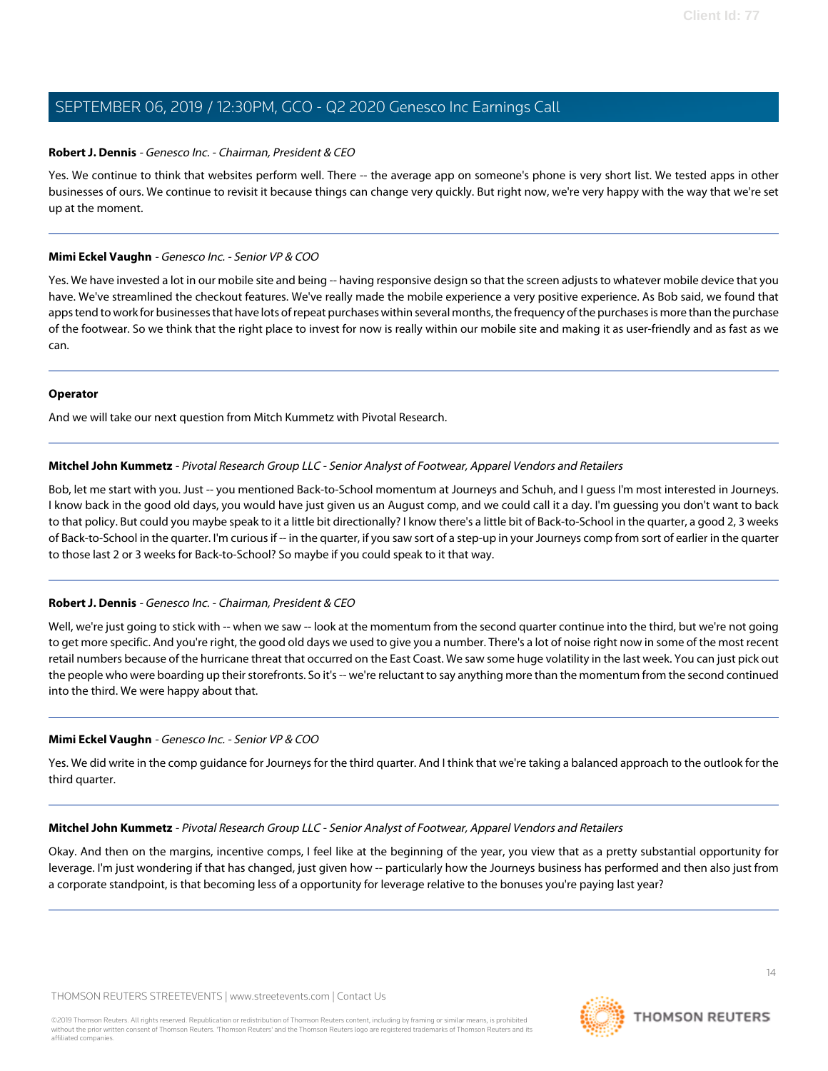### **Robert J. Dennis** - Genesco Inc. - Chairman, President & CEO

Yes. We continue to think that websites perform well. There -- the average app on someone's phone is very short list. We tested apps in other businesses of ours. We continue to revisit it because things can change very quickly. But right now, we're very happy with the way that we're set up at the moment.

### **Mimi Eckel Vaughn** - Genesco Inc. - Senior VP & COO

Yes. We have invested a lot in our mobile site and being -- having responsive design so that the screen adjusts to whatever mobile device that you have. We've streamlined the checkout features. We've really made the mobile experience a very positive experience. As Bob said, we found that apps tend to work for businesses that have lots of repeat purchases within several months, the frequency of the purchases is more than the purchase of the footwear. So we think that the right place to invest for now is really within our mobile site and making it as user-friendly and as fast as we can.

#### **Operator**

<span id="page-13-0"></span>And we will take our next question from Mitch Kummetz with Pivotal Research.

### **Mitchel John Kummetz** - Pivotal Research Group LLC - Senior Analyst of Footwear, Apparel Vendors and Retailers

Bob, let me start with you. Just -- you mentioned Back-to-School momentum at Journeys and Schuh, and I guess I'm most interested in Journeys. I know back in the good old days, you would have just given us an August comp, and we could call it a day. I'm guessing you don't want to back to that policy. But could you maybe speak to it a little bit directionally? I know there's a little bit of Back-to-School in the quarter, a good 2, 3 weeks of Back-to-School in the quarter. I'm curious if -- in the quarter, if you saw sort of a step-up in your Journeys comp from sort of earlier in the quarter to those last 2 or 3 weeks for Back-to-School? So maybe if you could speak to it that way.

### **Robert J. Dennis** - Genesco Inc. - Chairman, President & CEO

Well, we're just going to stick with -- when we saw -- look at the momentum from the second quarter continue into the third, but we're not going to get more specific. And you're right, the good old days we used to give you a number. There's a lot of noise right now in some of the most recent retail numbers because of the hurricane threat that occurred on the East Coast. We saw some huge volatility in the last week. You can just pick out the people who were boarding up their storefronts. So it's -- we're reluctant to say anything more than the momentum from the second continued into the third. We were happy about that.

### **Mimi Eckel Vaughn** - Genesco Inc. - Senior VP & COO

Yes. We did write in the comp guidance for Journeys for the third quarter. And I think that we're taking a balanced approach to the outlook for the third quarter.

**Mitchel John Kummetz** - Pivotal Research Group LLC - Senior Analyst of Footwear, Apparel Vendors and Retailers

Okay. And then on the margins, incentive comps, I feel like at the beginning of the year, you view that as a pretty substantial opportunity for leverage. I'm just wondering if that has changed, just given how -- particularly how the Journeys business has performed and then also just from a corporate standpoint, is that becoming less of a opportunity for leverage relative to the bonuses you're paying last year?

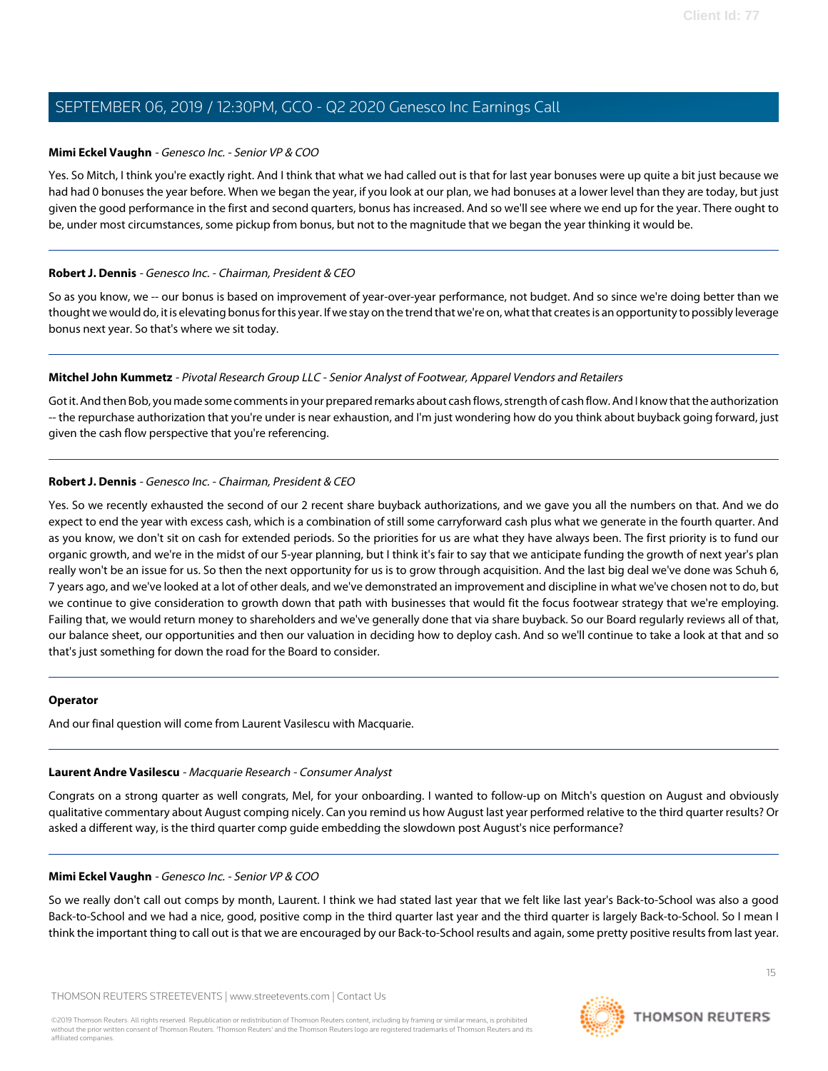### **Mimi Eckel Vaughn** - Genesco Inc. - Senior VP & COO

Yes. So Mitch, I think you're exactly right. And I think that what we had called out is that for last year bonuses were up quite a bit just because we had had 0 bonuses the year before. When we began the year, if you look at our plan, we had bonuses at a lower level than they are today, but just given the good performance in the first and second quarters, bonus has increased. And so we'll see where we end up for the year. There ought to be, under most circumstances, some pickup from bonus, but not to the magnitude that we began the year thinking it would be.

### **Robert J. Dennis** - Genesco Inc. - Chairman, President & CEO

So as you know, we -- our bonus is based on improvement of year-over-year performance, not budget. And so since we're doing better than we thought we would do, it is elevating bonus for this year. If we stay on the trend that we're on, what that creates is an opportunity to possibly leverage bonus next year. So that's where we sit today.

#### **Mitchel John Kummetz** - Pivotal Research Group LLC - Senior Analyst of Footwear, Apparel Vendors and Retailers

Got it. And then Bob, you made some comments in your prepared remarks about cash flows, strength of cash flow. And I know that the authorization -- the repurchase authorization that you're under is near exhaustion, and I'm just wondering how do you think about buyback going forward, just given the cash flow perspective that you're referencing.

### **Robert J. Dennis** - Genesco Inc. - Chairman, President & CEO

Yes. So we recently exhausted the second of our 2 recent share buyback authorizations, and we gave you all the numbers on that. And we do expect to end the year with excess cash, which is a combination of still some carryforward cash plus what we generate in the fourth quarter. And as you know, we don't sit on cash for extended periods. So the priorities for us are what they have always been. The first priority is to fund our organic growth, and we're in the midst of our 5-year planning, but I think it's fair to say that we anticipate funding the growth of next year's plan really won't be an issue for us. So then the next opportunity for us is to grow through acquisition. And the last big deal we've done was Schuh 6, 7 years ago, and we've looked at a lot of other deals, and we've demonstrated an improvement and discipline in what we've chosen not to do, but we continue to give consideration to growth down that path with businesses that would fit the focus footwear strategy that we're employing. Failing that, we would return money to shareholders and we've generally done that via share buyback. So our Board regularly reviews all of that, our balance sheet, our opportunities and then our valuation in deciding how to deploy cash. And so we'll continue to take a look at that and so that's just something for down the road for the Board to consider.

#### <span id="page-14-0"></span>**Operator**

And our final question will come from Laurent Vasilescu with Macquarie.

#### **Laurent Andre Vasilescu** - Macquarie Research - Consumer Analyst

Congrats on a strong quarter as well congrats, Mel, for your onboarding. I wanted to follow-up on Mitch's question on August and obviously qualitative commentary about August comping nicely. Can you remind us how August last year performed relative to the third quarter results? Or asked a different way, is the third quarter comp guide embedding the slowdown post August's nice performance?

#### **Mimi Eckel Vaughn** - Genesco Inc. - Senior VP & COO

So we really don't call out comps by month, Laurent. I think we had stated last year that we felt like last year's Back-to-School was also a good Back-to-School and we had a nice, good, positive comp in the third quarter last year and the third quarter is largely Back-to-School. So I mean I think the important thing to call out is that we are encouraged by our Back-to-School results and again, some pretty positive results from last year.